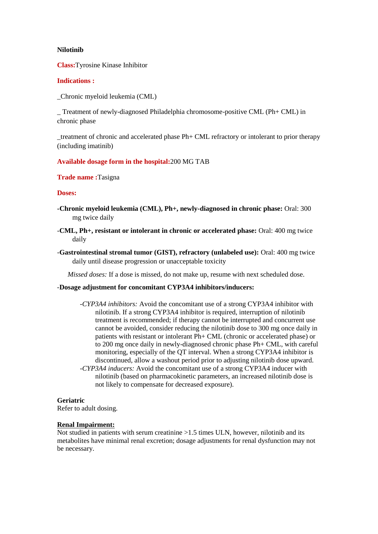### **Nilotinib**

**Class:**Tyrosine Kinase Inhibitor

### **Indications :**

\_Chronic myeloid leukemia (CML)

\_ Treatment of newly-diagnosed Philadelphia chromosome-positive CML (Ph+ CML) in chronic phase

\_treatment of chronic and accelerated phase Ph+ CML refractory or intolerant to prior therapy (including imatinib)

### **Available dosage form in the hospital:**200 MG TAB

**Trade name :**Tasigna

**Doses:**

- **-Chronic myeloid leukemia (CML), Ph+, newly-diagnosed in chronic phase:** Oral: 300 mg twice daily
- -**CML, Ph+, resistant or intolerant in chronic or accelerated phase:** Oral: 400 mg twice daily
- -**Gastrointestinal stromal tumor (GIST), refractory (unlabeled use):** Oral: 400 mg twice daily until disease progression or unacceptable toxicity

 *Missed doses:* If a dose is missed, do not make up, resume with next scheduled dose.

## *-***Dosage adjustment for concomitant CYP3A4 inhibitors/inducers:**

not likely to compensate for decreased exposure).

*-CYP3A4 inhibitors:* Avoid the concomitant use of a strong CYP3A4 inhibitor with nilotinib. If a strong CYP3A4 inhibitor is required, interruption of nilotinib treatment is recommended; if therapy cannot be interrupted and concurrent use cannot be avoided, consider reducing the nilotinib dose to 300 mg once daily in patients with resistant or intolerant Ph+ CML (chronic or accelerated phase) or to 200 mg once daily in newly-diagnosed chronic phase Ph+ CML, with careful monitoring, especially of the QT interval. When a strong CYP3A4 inhibitor is discontinued, allow a washout period prior to adjusting nilotinib dose upward. *-CYP3A4 inducers:* Avoid the concomitant use of a strong CYP3A4 inducer with nilotinib (based on pharmacokinetic parameters, an increased nilotinib dose is

#### **Geriatric**

Refer to adult dosing.

### **Renal Impairment:**

Not studied in patients with serum creatinine >1.5 times ULN, however, nilotinib and its metabolites have minimal renal excretion; dosage adjustments for renal dysfunction may not be necessary.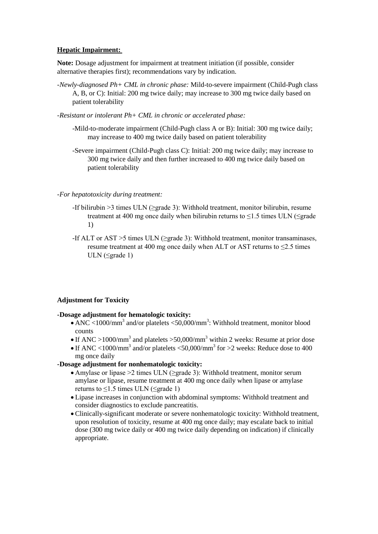# **Hepatic Impairment:**

**Note:** Dosage adjustment for impairment at treatment initiation (if possible, consider alternative therapies first); recommendations vary by indication.

- *-Newly-diagnosed Ph+ CML in chronic phase:* Mild-to-severe impairment (Child-Pugh class A, B, or C): Initial: 200 mg twice daily; may increase to 300 mg twice daily based on patient tolerability
- *-Resistant or intolerant Ph+ CML in chronic or accelerated phase:*
	- -Mild-to-moderate impairment (Child-Pugh class A or B): Initial: 300 mg twice daily; may increase to 400 mg twice daily based on patient tolerability
	- -Severe impairment (Child-Pugh class C): Initial: 200 mg twice daily; may increase to 300 mg twice daily and then further increased to 400 mg twice daily based on patient tolerability

## *-For hepatotoxicity during treatment:*

- -If bilirubin >3 times ULN (≥grade 3): Withhold treatment, monitor bilirubin, resume treatment at 400 mg once daily when bilirubin returns to  $\leq$ 1.5 times ULN ( $\leq$ grade 1)
- -If ALT or AST >5 times ULN ( $\geq$ grade 3): Withhold treatment, monitor transaminases, resume treatment at 400 mg once daily when ALT or AST returns to  $\leq$ 2.5 times ULN ( $\leq$ grade 1)

## **Adjustment for Toxicity**

## **-Dosage adjustment for hematologic toxicity:**

- ANC <1000/mm<sup>3</sup> and/or platelets <50,000/mm<sup>3</sup>: Withhold treatment, monitor blood counts
- If ANC >1000/mm<sup>3</sup> and platelets >50,000/mm<sup>3</sup> within 2 weeks: Resume at prior dose
- If ANC <1000/mm<sup>3</sup> and/or platelets <50,000/mm<sup>3</sup> for >2 weeks: Reduce dose to 400 mg once daily

## **-Dosage adjustment for nonhematologic toxicity:**

- Amylase or lipase >2 times ULN (≥grade 3): Withhold treatment, monitor serum amylase or lipase, resume treatment at 400 mg once daily when lipase or amylase returns to  $\leq$ 1.5 times ULN ( $\leq$ grade 1)
- Lipase increases in conjunction with abdominal symptoms: Withhold treatment and consider diagnostics to exclude pancreatitis.
- Clinically-significant moderate or severe nonhematologic toxicity: Withhold treatment, upon resolution of toxicity, resume at 400 mg once daily; may escalate back to initial dose (300 mg twice daily or 400 mg twice daily depending on indication) if clinically appropriate.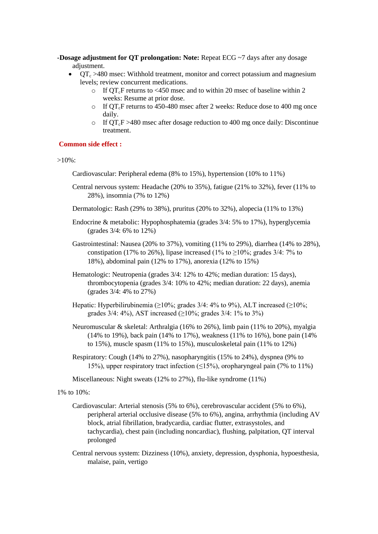- **-Dosage adjustment for QT prolongation: Note:** Repeat ECG ~7 days after any dosage adjustment.
	- $\bullet$   $\overline{OT_c} > 480$  msec: Withhold treatment, monitor and correct potassium and magnesium levels; review concurrent medications.
		- o If  $\overline{OT_cF}$  returns to <450 msec and to within 20 msec of baseline within 2 weeks: Resume at prior dose.
		- $\circ$  If QT<sub>c</sub>F returns to 450-480 msec after 2 weeks: Reduce dose to 400 mg once daily.
		- o If  $\overline{QT}$ <sub>c</sub>F >480 msec after dosage reduction to 400 mg once daily: Discontinue treatment.

#### **Common side effect :**

>10%:

Cardiovascular: Peripheral edema (8% to 15%), hypertension (10% to 11%)

- Central nervous system: Headache (20% to 35%), fatigue (21% to 32%), fever (11% to 28%), insomnia (7% to 12%)
- Dermatologic: Rash (29% to 38%), pruritus (20% to 32%), alopecia (11% to 13%)
- Endocrine & metabolic: Hypophosphatemia (grades 3/4: 5% to 17%), hyperglycemia (grades 3/4: 6% to 12%)
- Gastrointestinal: Nausea (20% to 37%), vomiting (11% to 29%), diarrhea (14% to 28%), constipation (17% to 26%), lipase increased (1% to  $\geq$ 10%; grades 3/4: 7% to 18%), abdominal pain (12% to 17%), anorexia (12% to 15%)
- Hematologic: Neutropenia (grades 3/4: 12% to 42%; median duration: 15 days), thrombocytopenia (grades 3/4: 10% to 42%; median duration: 22 days), anemia (grades 3/4: 4% to 27%)
- Hepatic: Hyperbilirubinemia ( $\geq 10\%$ ; grades 3/4: 4% to 9%), ALT increased ( $\geq 10\%$ ; grades  $3/4$ :  $4\%$ ), AST increased ( $\geq 10\%$ ; grades  $3/4$ :  $1\%$  to  $3\%$ )
- Neuromuscular & skeletal: Arthralgia (16% to 26%), limb pain (11% to 20%), myalgia (14% to 19%), back pain (14% to 17%), weakness (11% to 16%), bone pain (14% to 15%), muscle spasm (11% to 15%), musculoskeletal pain (11% to 12%)
- Respiratory: Cough (14% to 27%), nasopharyngitis (15% to 24%), dyspnea (9% to 15%), upper respiratory tract infection (≤15%), oropharyngeal pain (7% to 11%)

Miscellaneous: Night sweats (12% to 27%), flu-like syndrome (11%)

# 1% to 10%:

- Cardiovascular: Arterial stenosis (5% to 6%), cerebrovascular accident (5% to 6%), peripheral arterial occlusive disease (5% to 6%), angina, arrhythmia (including AV block, atrial fibrillation, bradycardia, cardiac flutter, extrasystoles, and tachycardia), chest pain (including noncardiac), flushing, palpitation, QT interval prolonged
- Central nervous system: Dizziness (10%), anxiety, depression, dysphonia, hypoesthesia, malaise, pain, vertigo